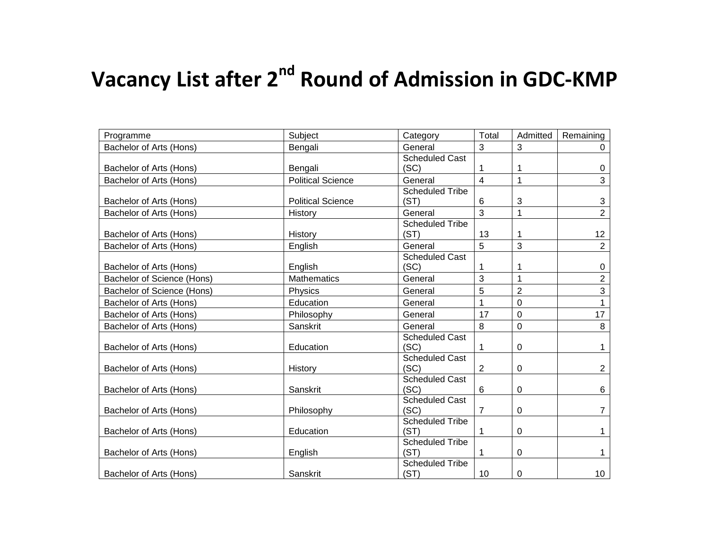## **Vacancy List after 2nd Round of Admission in GDC-KMP**

| Programme                  | Subject                  | Category                       | Total          | Admitted       | Remaining       |
|----------------------------|--------------------------|--------------------------------|----------------|----------------|-----------------|
| Bachelor of Arts (Hons)    | Bengali                  | General                        | 3              | 3              | 0               |
| Bachelor of Arts (Hons)    | Bengali                  | <b>Scheduled Cast</b><br>(SC)  | 1              | 1              | 0               |
| Bachelor of Arts (Hons)    | <b>Political Science</b> | General                        | 4              | 1              | 3               |
| Bachelor of Arts (Hons)    | <b>Political Science</b> | <b>Scheduled Tribe</b><br>(ST) | 6              | 3              | 3               |
| Bachelor of Arts (Hons)    | History                  | General                        | 3              | 1              | $\overline{2}$  |
| Bachelor of Arts (Hons)    | History                  | <b>Scheduled Tribe</b><br>(ST) | 13             | 1              | 12              |
| Bachelor of Arts (Hons)    | English                  | General                        | 5              | 3              | $\overline{2}$  |
| Bachelor of Arts (Hons)    | English                  | <b>Scheduled Cast</b><br>(SC)  | 1              | 1              | 0               |
| Bachelor of Science (Hons) | <b>Mathematics</b>       | General                        | 3              | $\mathbf{1}$   | $\overline{2}$  |
| Bachelor of Science (Hons) | Physics                  | General                        | 5              | $\overline{2}$ | $\overline{3}$  |
| Bachelor of Arts (Hons)    | Education                | General                        | 1              | $\mathbf 0$    |                 |
| Bachelor of Arts (Hons)    | Philosophy               | General                        | 17             | 0              | 17              |
| Bachelor of Arts (Hons)    | Sanskrit                 | General                        | 8              | 0              | 8               |
| Bachelor of Arts (Hons)    | Education                | <b>Scheduled Cast</b><br>(SC)  | 1              | 0              | 1               |
| Bachelor of Arts (Hons)    | History                  | <b>Scheduled Cast</b><br>(SC)  | $\overline{2}$ | 0              | $\overline{2}$  |
| Bachelor of Arts (Hons)    | Sanskrit                 | <b>Scheduled Cast</b><br>(SC)  | 6              | 0              | 6               |
| Bachelor of Arts (Hons)    | Philosophy               | <b>Scheduled Cast</b><br>(SC)  | $\overline{7}$ | 0              | 7               |
| Bachelor of Arts (Hons)    | Education                | <b>Scheduled Tribe</b><br>(ST) | 1              | 0              | 1               |
| Bachelor of Arts (Hons)    | English                  | <b>Scheduled Tribe</b><br>(ST) | 1              | 0              |                 |
| Bachelor of Arts (Hons)    | Sanskrit                 | <b>Scheduled Tribe</b><br>(ST) | 10             | 0              | 10 <sup>°</sup> |